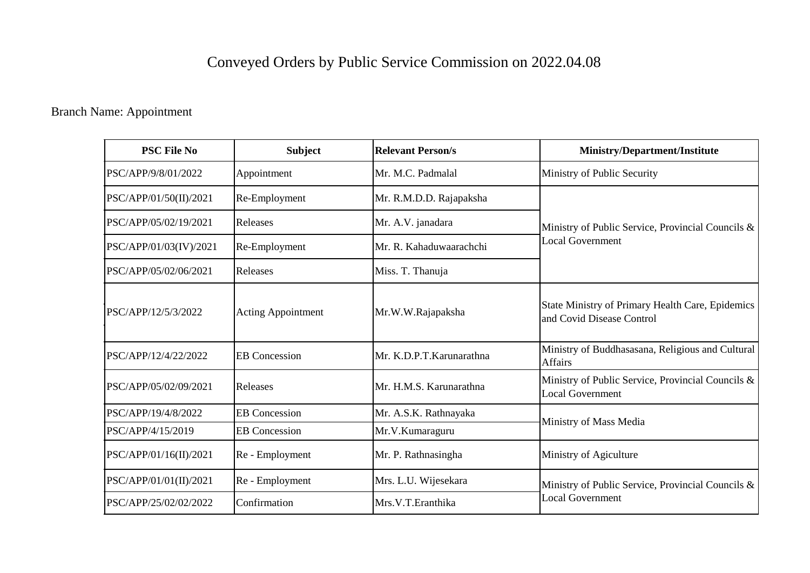# Conveyed Orders by Public Service Commission on 2022.04.08

### Branch Name: Appointment

| <b>PSC File No</b>     | <b>Subject</b>            | <b>Relevant Person/s</b> | <b>Ministry/Department/Institute</b>                                          |
|------------------------|---------------------------|--------------------------|-------------------------------------------------------------------------------|
| PSC/APP/9/8/01/2022    | Appointment               | Mr. M.C. Padmalal        | Ministry of Public Security                                                   |
| PSC/APP/01/50(II)/2021 | Re-Employment             | Mr. R.M.D.D. Rajapaksha  |                                                                               |
| PSC/APP/05/02/19/2021  | Releases                  | Mr. A.V. janadara        | Ministry of Public Service, Provincial Councils &                             |
| PSC/APP/01/03(IV)/2021 | Re-Employment             | Mr. R. Kahaduwaarachchi  | <b>Local Government</b>                                                       |
| PSC/APP/05/02/06/2021  | Releases                  | Miss. T. Thanuja         |                                                                               |
| PSC/APP/12/5/3/2022    | <b>Acting Appointment</b> | Mr.W.W.Rajapaksha        | State Ministry of Primary Health Care, Epidemics<br>and Covid Disease Control |
| PSC/APP/12/4/22/2022   | <b>EB</b> Concession      | Mr. K.D.P.T.Karunarathna | Ministry of Buddhasasana, Religious and Cultural<br><b>Affairs</b>            |
| PSC/APP/05/02/09/2021  | Releases                  | Mr. H.M.S. Karunarathna  | Ministry of Public Service, Provincial Councils &<br><b>Local Government</b>  |
| PSC/APP/19/4/8/2022    | <b>EB</b> Concession      | Mr. A.S.K. Rathnayaka    |                                                                               |
| PSC/APP/4/15/2019      | <b>EB</b> Concession      | Mr.V.Kumaraguru          | Ministry of Mass Media                                                        |
| PSC/APP/01/16(II)/2021 | Re - Employment           | Mr. P. Rathnasingha      | Ministry of Agiculture                                                        |
| PSC/APP/01/01(II)/2021 | Re - Employment           | Mrs. L.U. Wijesekara     | Ministry of Public Service, Provincial Councils &                             |
| PSC/APP/25/02/02/2022  | Confirmation              | Mrs.V.T.Eranthika        | <b>Local Government</b>                                                       |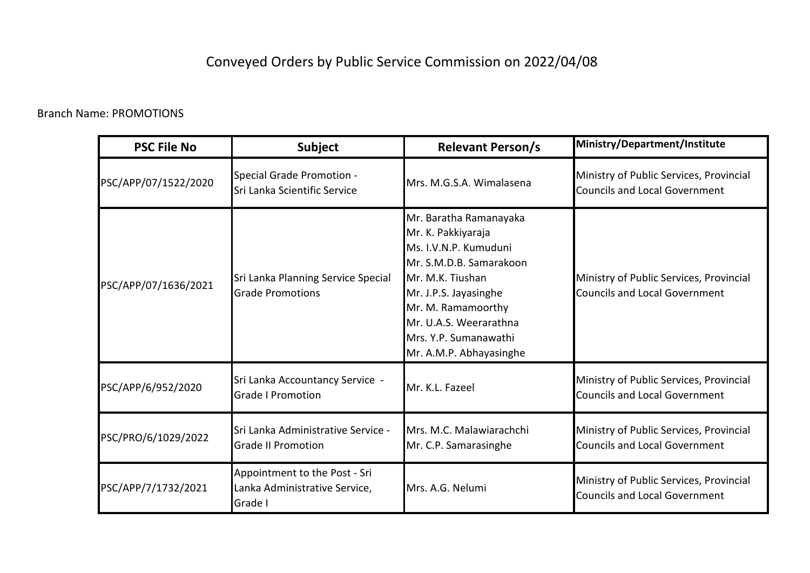## Conveyed Orders by Public Service Commission on 2022/04/08

#### Branch Name: PROMOTIONS

| <b>PSC File No</b>   | <b>Subject</b>                                                            | <b>Relevant Person/s</b>                                                                                                                                                                                                                          | Ministry/Department/Institute                                                   |
|----------------------|---------------------------------------------------------------------------|---------------------------------------------------------------------------------------------------------------------------------------------------------------------------------------------------------------------------------------------------|---------------------------------------------------------------------------------|
| PSC/APP/07/1522/2020 | Special Grade Promotion -<br>Sri Lanka Scientific Service                 | Mrs. M.G.S.A. Wimalasena                                                                                                                                                                                                                          | Ministry of Public Services, Provincial<br><b>Councils and Local Government</b> |
| PSC/APP/07/1636/2021 | Sri Lanka Planning Service Special<br><b>Grade Promotions</b>             | Mr. Baratha Ramanayaka<br>Mr. K. Pakkiyaraja<br>Ms. I.V.N.P. Kumuduni<br>Mr. S.M.D.B. Samarakoon<br>Mr. M.K. Tiushan<br>Mr. J.P.S. Jayasinghe<br>Mr. M. Ramamoorthy<br>Mr. U.A.S. Weerarathna<br>Mrs. Y.P. Sumanawathi<br>Mr. A.M.P. Abhayasinghe | Ministry of Public Services, Provincial<br><b>Councils and Local Government</b> |
| PSC/APP/6/952/2020   | Sri Lanka Accountancy Service -<br><b>Grade I Promotion</b>               | Mr. K.L. Fazeel                                                                                                                                                                                                                                   | Ministry of Public Services, Provincial<br><b>Councils and Local Government</b> |
| PSC/PRO/6/1029/2022  | Sri Lanka Administrative Service -<br><b>Grade II Promotion</b>           | Mrs. M.C. Malawiarachchi<br>Mr. C.P. Samarasinghe                                                                                                                                                                                                 | Ministry of Public Services, Provincial<br><b>Councils and Local Government</b> |
| PSC/APP/7/1732/2021  | Appointment to the Post - Sri<br>Lanka Administrative Service,<br>Grade I | Mrs. A.G. Nelumi                                                                                                                                                                                                                                  | Ministry of Public Services, Provincial<br><b>Councils and Local Government</b> |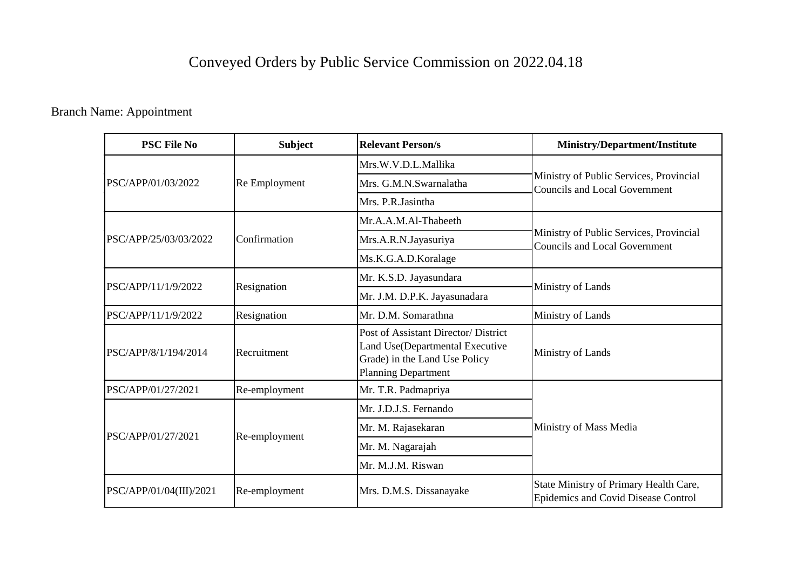## Conveyed Orders by Public Service Commission on 2022.04.18

Branch Name: Appointment

| <b>PSC File No</b>      | <b>Subject</b> | <b>Relevant Person/s</b>                                                                                                               | <b>Ministry/Department/Institute</b>                                            |
|-------------------------|----------------|----------------------------------------------------------------------------------------------------------------------------------------|---------------------------------------------------------------------------------|
| PSC/APP/01/03/2022      | Re Employment  | Mrs.W.V.D.L.Mallika                                                                                                                    |                                                                                 |
|                         |                | Mrs. G.M.N.Swarnalatha                                                                                                                 | Ministry of Public Services, Provincial<br><b>Councils and Local Government</b> |
|                         |                | Mrs. P.R.Jasintha                                                                                                                      |                                                                                 |
|                         |                | Mr.A.A.M.Al-Thabeeth                                                                                                                   |                                                                                 |
| PSC/APP/25/03/03/2022   | Confirmation   | Mrs.A.R.N.Jayasuriya                                                                                                                   | Ministry of Public Services, Provincial<br>Councils and Local Government        |
|                         |                | Ms.K.G.A.D.Koralage                                                                                                                    |                                                                                 |
| PSC/APP/11/1/9/2022     | Resignation    | Mr. K.S.D. Jayasundara                                                                                                                 |                                                                                 |
|                         |                | Mr. J.M. D.P.K. Jayasunadara                                                                                                           | Ministry of Lands                                                               |
| PSC/APP/11/1/9/2022     | Resignation    | Mr. D.M. Somarathna                                                                                                                    | Ministry of Lands                                                               |
| PSC/APP/8/1/194/2014    | Recruitment    | Post of Assistant Director/ District<br>Land Use(Departmental Executive<br>Grade) in the Land Use Policy<br><b>Planning Department</b> | Ministry of Lands                                                               |
| PSC/APP/01/27/2021      | Re-employment  | Mr. T.R. Padmapriya                                                                                                                    |                                                                                 |
| PSC/APP/01/27/2021      | Re-employment  | Mr. J.D.J.S. Fernando                                                                                                                  |                                                                                 |
|                         |                | Mr. M. Rajasekaran                                                                                                                     | Ministry of Mass Media                                                          |
|                         |                | Mr. M. Nagarajah                                                                                                                       |                                                                                 |
|                         |                | Mr. M.J.M. Riswan                                                                                                                      |                                                                                 |
| PSC/APP/01/04(III)/2021 | Re-employment  | Mrs. D.M.S. Dissanayake                                                                                                                | State Ministry of Primary Health Care,<br>Epidemics and Covid Disease Control   |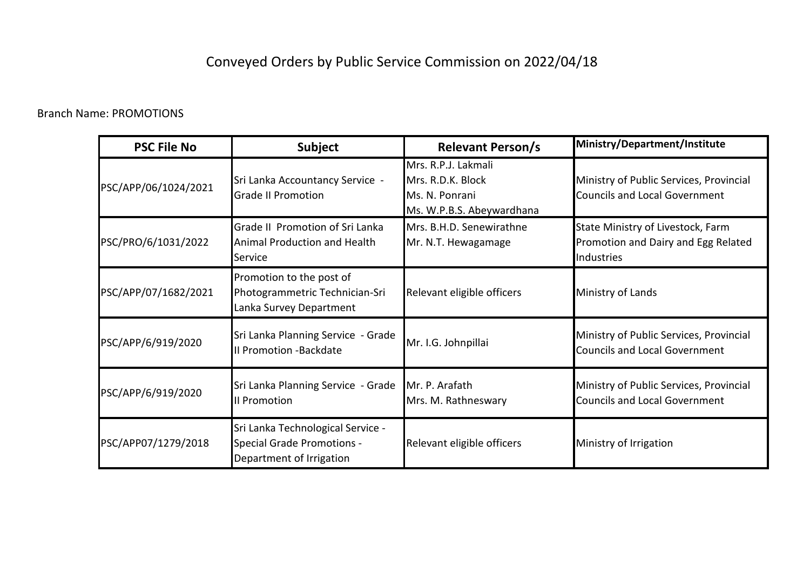## Conveyed Orders by Public Service Commission on 2022/04/18

#### Branch Name: PROMOTIONS

| <b>PSC File No</b>   | <b>Subject</b>                                                                                     | <b>Relevant Person/s</b>                                                                | Ministry/Department/Institute                                                          |
|----------------------|----------------------------------------------------------------------------------------------------|-----------------------------------------------------------------------------------------|----------------------------------------------------------------------------------------|
| PSC/APP/06/1024/2021 | Sri Lanka Accountancy Service -<br><b>Grade II Promotion</b>                                       | Mrs. R.P.J. Lakmali<br>Mrs. R.D.K. Block<br>Ms. N. Ponrani<br>Ms. W.P.B.S. Abeywardhana | Ministry of Public Services, Provincial<br><b>Councils and Local Government</b>        |
| PSC/PRO/6/1031/2022  | Grade II Promotion of Sri Lanka<br>Animal Production and Health<br>Service                         | Mrs. B.H.D. Senewirathne<br>Mr. N.T. Hewagamage                                         | State Ministry of Livestock, Farm<br>Promotion and Dairy and Egg Related<br>Industries |
| PSC/APP/07/1682/2021 | Promotion to the post of<br>Photogrammetric Technician-Sri<br>Lanka Survey Department              | Relevant eligible officers                                                              | Ministry of Lands                                                                      |
| PSC/APP/6/919/2020   | Sri Lanka Planning Service - Grade<br>Il Promotion -Backdate                                       | Mr. I.G. Johnpillai                                                                     | Ministry of Public Services, Provincial<br><b>Councils and Local Government</b>        |
| PSC/APP/6/919/2020   | Sri Lanka Planning Service - Grade<br><b>Il Promotion</b>                                          | Mr. P. Arafath<br>Mrs. M. Rathneswary                                                   | Ministry of Public Services, Provincial<br><b>Councils and Local Government</b>        |
| PSC/APP07/1279/2018  | Sri Lanka Technological Service -<br><b>Special Grade Promotions -</b><br>Department of Irrigation | Relevant eligible officers                                                              | Ministry of Irrigation                                                                 |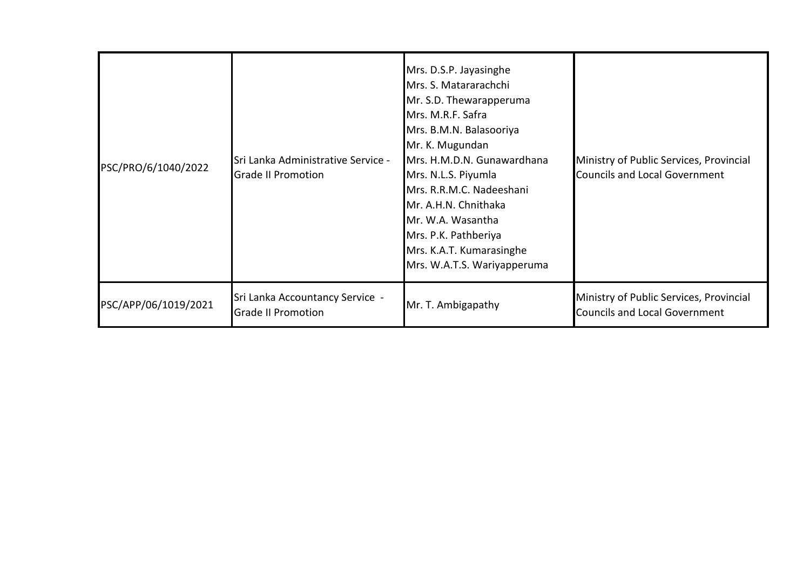| PSC/PRO/6/1040/2022  | Sri Lanka Administrative Service -<br><b>Grade II Promotion</b> | Mrs. D.S.P. Jayasinghe<br>Mrs. S. Matararachchi<br>Mr. S.D. Thewarapperuma<br>Mrs. M.R.F. Safra<br>Mrs. B.M.N. Balasooriya<br>Mr. K. Mugundan<br>Mrs. H.M.D.N. Gunawardhana<br>Mrs. N.L.S. Piyumla<br>Mrs. R.R.M.C. Nadeeshani<br>Mr. A.H.N. Chnithaka<br>Mr. W.A. Wasantha<br>Mrs. P.K. Pathberiya<br>Mrs. K.A.T. Kumarasinghe<br>Mrs. W.A.T.S. Wariyapperuma | Ministry of Public Services, Provincial<br><b>Councils and Local Government</b> |
|----------------------|-----------------------------------------------------------------|----------------------------------------------------------------------------------------------------------------------------------------------------------------------------------------------------------------------------------------------------------------------------------------------------------------------------------------------------------------|---------------------------------------------------------------------------------|
| PSC/APP/06/1019/2021 | Sri Lanka Accountancy Service -<br><b>Grade II Promotion</b>    | Mr. T. Ambigapathy                                                                                                                                                                                                                                                                                                                                             | Ministry of Public Services, Provincial<br><b>Councils and Local Government</b> |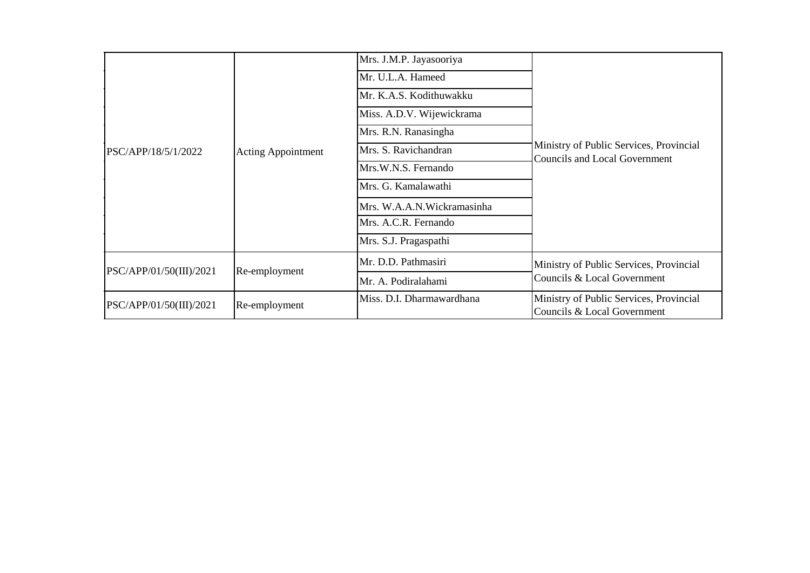|                         |                           | Mrs. J.M.P. Jayasooriya    |                                                                          |
|-------------------------|---------------------------|----------------------------|--------------------------------------------------------------------------|
|                         |                           | Mr. U.L.A. Hameed          |                                                                          |
|                         |                           | Mr. K.A.S. Kodithuwakku    |                                                                          |
|                         |                           | Miss. A.D.V. Wijewickrama  |                                                                          |
|                         |                           | Mrs. R.N. Ranasingha       |                                                                          |
| PSC/APP/18/5/1/2022     | <b>Acting Appointment</b> | Mrs. S. Ravichandran       | Ministry of Public Services, Provincial<br>Councils and Local Government |
|                         |                           | Mrs.W.N.S. Fernando        |                                                                          |
|                         |                           | Mrs. G. Kamalawathi        |                                                                          |
|                         |                           | Mrs. W.A.A.N.Wickramasinha |                                                                          |
|                         |                           | Mrs. A.C.R. Fernando       |                                                                          |
|                         |                           | Mrs. S.J. Pragaspathi      |                                                                          |
|                         |                           | Mr. D.D. Pathmasiri        | Ministry of Public Services, Provincial                                  |
| PSC/APP/01/50(III)/2021 | Re-employment             | Mr. A. Podiralahami        | Councils & Local Government                                              |
| PSC/APP/01/50(III)/2021 | Re-employment             | Miss. D.I. Dharmawardhana  | Ministry of Public Services, Provincial<br>Councils & Local Government   |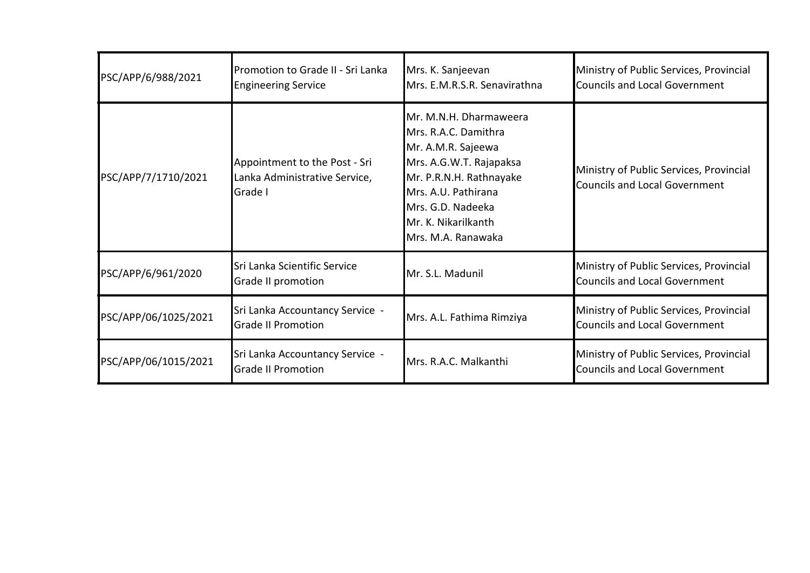| PSC/APP/6/988/2021   | Promotion to Grade II - Sri Lanka<br><b>Engineering Service</b>           | Mrs. K. Sanjeevan<br>Mrs. E.M.R.S.R. Senavirathna                                                                                                                                                                   | Ministry of Public Services, Provincial<br><b>Councils and Local Government</b> |
|----------------------|---------------------------------------------------------------------------|---------------------------------------------------------------------------------------------------------------------------------------------------------------------------------------------------------------------|---------------------------------------------------------------------------------|
| PSC/APP/7/1710/2021  | Appointment to the Post - Sri<br>Lanka Administrative Service,<br>Grade I | Mr. M.N.H. Dharmaweera<br>Mrs. R.A.C. Damithra<br>Mr. A.M.R. Sajeewa<br>Mrs. A.G.W.T. Rajapaksa<br>Mr. P.R.N.H. Rathnayake<br>Mrs. A.U. Pathirana<br>Mrs. G.D. Nadeeka<br>Mr. K. Nikarilkanth<br>Mrs. M.A. Ranawaka | Ministry of Public Services, Provincial<br><b>Councils and Local Government</b> |
| PSC/APP/6/961/2020   | Sri Lanka Scientific Service<br>Grade II promotion                        | Mr. S.L. Madunil                                                                                                                                                                                                    | Ministry of Public Services, Provincial<br><b>Councils and Local Government</b> |
| PSC/APP/06/1025/2021 | Sri Lanka Accountancy Service -<br><b>Grade II Promotion</b>              | Mrs. A.L. Fathima Rimziya                                                                                                                                                                                           | Ministry of Public Services, Provincial<br><b>Councils and Local Government</b> |
| PSC/APP/06/1015/2021 | Sri Lanka Accountancy Service -<br><b>Grade II Promotion</b>              | Mrs. R.A.C. Malkanthi                                                                                                                                                                                               | Ministry of Public Services, Provincial<br><b>Councils and Local Government</b> |